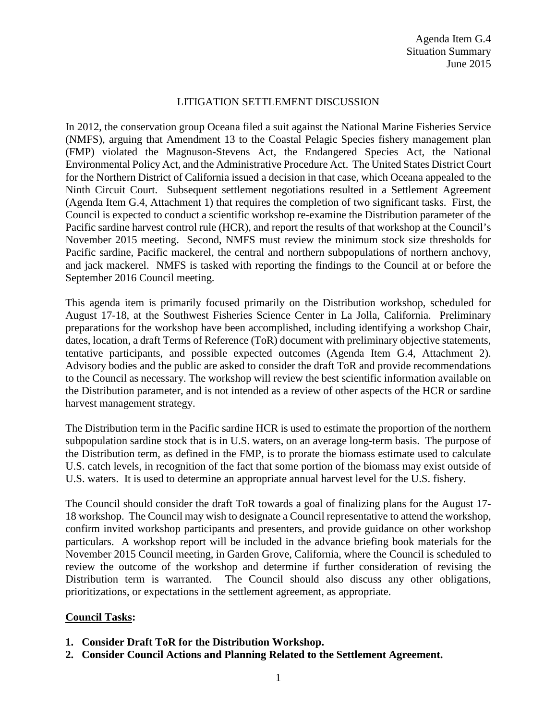## LITIGATION SETTLEMENT DISCUSSION

In 2012, the conservation group Oceana filed a suit against the National Marine Fisheries Service (NMFS), arguing that Amendment 13 to the Coastal Pelagic Species fishery management plan (FMP) violated the Magnuson-Stevens Act, the Endangered Species Act, the National Environmental Policy Act, and the Administrative Procedure Act. The United States District Court for the Northern District of California issued a decision in that case, which Oceana appealed to the Ninth Circuit Court. Subsequent settlement negotiations resulted in a Settlement Agreement (Agenda Item G.4, Attachment 1) that requires the completion of two significant tasks. First, the Council is expected to conduct a scientific workshop re-examine the Distribution parameter of the Pacific sardine harvest control rule (HCR), and report the results of that workshop at the Council's November 2015 meeting. Second, NMFS must review the minimum stock size thresholds for Pacific sardine, Pacific mackerel, the central and northern subpopulations of northern anchovy, and jack mackerel. NMFS is tasked with reporting the findings to the Council at or before the September 2016 Council meeting.

This agenda item is primarily focused primarily on the Distribution workshop, scheduled for August 17-18, at the Southwest Fisheries Science Center in La Jolla, California. Preliminary preparations for the workshop have been accomplished, including identifying a workshop Chair, dates, location, a draft Terms of Reference (ToR) document with preliminary objective statements, tentative participants, and possible expected outcomes (Agenda Item G.4, Attachment 2). Advisory bodies and the public are asked to consider the draft ToR and provide recommendations to the Council as necessary. The workshop will review the best scientific information available on the Distribution parameter, and is not intended as a review of other aspects of the HCR or sardine harvest management strategy.

The Distribution term in the Pacific sardine HCR is used to estimate the proportion of the northern subpopulation sardine stock that is in U.S. waters, on an average long-term basis. The purpose of the Distribution term, as defined in the FMP, is to prorate the biomass estimate used to calculate U.S. catch levels, in recognition of the fact that some portion of the biomass may exist outside of U.S. waters. It is used to determine an appropriate annual harvest level for the U.S. fishery.

The Council should consider the draft ToR towards a goal of finalizing plans for the August 17- 18 workshop. The Council may wish to designate a Council representative to attend the workshop, confirm invited workshop participants and presenters, and provide guidance on other workshop particulars. A workshop report will be included in the advance briefing book materials for the November 2015 Council meeting, in Garden Grove, California, where the Council is scheduled to review the outcome of the workshop and determine if further consideration of revising the Distribution term is warranted. The Council should also discuss any other obligations, prioritizations, or expectations in the settlement agreement, as appropriate.

## **Council Tasks:**

- **1. Consider Draft ToR for the Distribution Workshop.**
- **2. Consider Council Actions and Planning Related to the Settlement Agreement.**